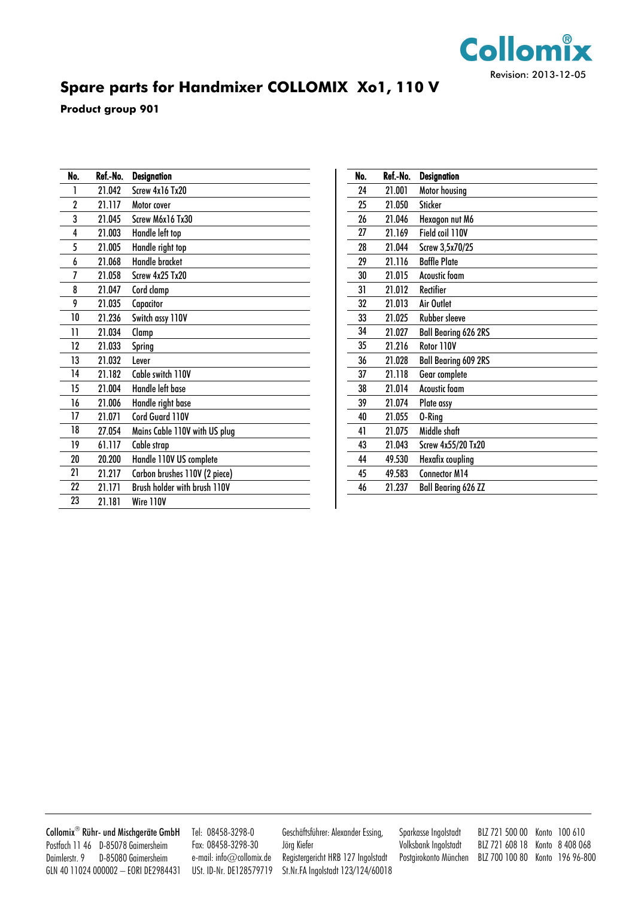

## **Spare parts for Handmixer COLLOMIX Xo1, 110 V**

**Product group 901**

| No.            | Ref.-No. | <b>Designation</b>            |
|----------------|----------|-------------------------------|
| 1              | 21.042   | Screw 4x16 Tx20               |
| $\overline{2}$ | 21.117   | Motor cover                   |
| 3              | 21.045   | Screw M6x16 Tx30              |
| 4              | 21.003   | Handle left top               |
| 5              | 21.005   | Handle right top              |
| 6              | 21.068   | <b>Handle bracket</b>         |
| 7              | 21.058   | Screw 4x25 Tx20               |
| 8              | 21.047   | Cord clamp                    |
| 9              | 21.035   | Capacitor                     |
| 10             | 21.236   | Switch assy 110V              |
| 11             | 21.034   | Clamp                         |
| 12             | 21.033   | Spring                        |
| 13             | 21.032   | Lever                         |
| 14             | 21.182   | Cable switch 110V             |
| 15             | 21.004   | Handle left base              |
| 16             | 21.006   | Handle right base             |
| 17             | 21.071   | Cord Guard 110V               |
| 18             | 27.054   | Mains Cable 110V with US plug |
| 19             | 61.117   | Cable strap                   |
| 20             | 20.200   | Handle 110V US complete       |
| 21             | 21.217   | Carbon brushes 110V (2 piece) |
| 22             | 21.171   | Brush holder with brush 110V  |
| 23             | 21.181   | Wire 110V                     |

| No. | Ref.-No. | <b>Designation</b>          |
|-----|----------|-----------------------------|
| 24  | 21.001   | Motor housing               |
| 25  | 21.050   | <b>Sticker</b>              |
| 26  | 21.046   | Hexagon nut M6              |
| 27  | 21.169   | Field coil 110V             |
| 28  | 21.044   | Screw 3,5x70/25             |
| 29  | 21.116   | <b>Baffle Plate</b>         |
| 30  | 21.015   | <b>Acoustic foam</b>        |
| 31  | 21.012   | Rectifier                   |
| 32  | 21.013   | Air Outlet                  |
| 33  | 21.025   | Rubber sleeve               |
| 34  | 21.027   | <b>Ball Bearing 626 2RS</b> |
| 35  | 21.216   | Rotor 110V                  |
| 36  | 21.028   | <b>Ball Bearing 609 2RS</b> |
| 37  | 21.118   | Gear complete               |
| 38  | 21.014   | Acoustic foam               |
| 39  | 21.074   | Plate assy                  |
| 40  | 21.055   | 0-Ring                      |
| 41  | 21.075   | Middle shaft                |
| 43  | 21.043   | Screw 4x55/20 Tx20          |
| 44  | 49.530   | Hexafix coupling            |
| 45  | 49.583   | <b>Connector M14</b>        |
| 46  | 21.237   | <b>Ball Bearing 626 ZZ</b>  |

Collomix Rühr-und Mischgeräte GmbH Postfach 11 46 D-85078 Gaimersheim Daimlerstr. 9 D-85080 Gaimersheim GLN 40 11024 000002 – EORI DE2984431

Tel: 08458-3298-0 Fax: 08458-3298-30 e-mail: info@collomix.de USt. ID-Nr. DE128579719 Geschäftsführer: Alexander Essing, Jörg Kiefer Registergericht HRB 127 Ingolstadt St.Nr.FA Ingolstadt 123/124/60018 Sparkasse Ingolstadt BLZ 721 500 00 Konto 100 610 Volksbank Ingolstadt BLZ 721 608 18 Konto 8 408 068 Postgirokonto München BLZ 700 100 80 Konto 196 96-800